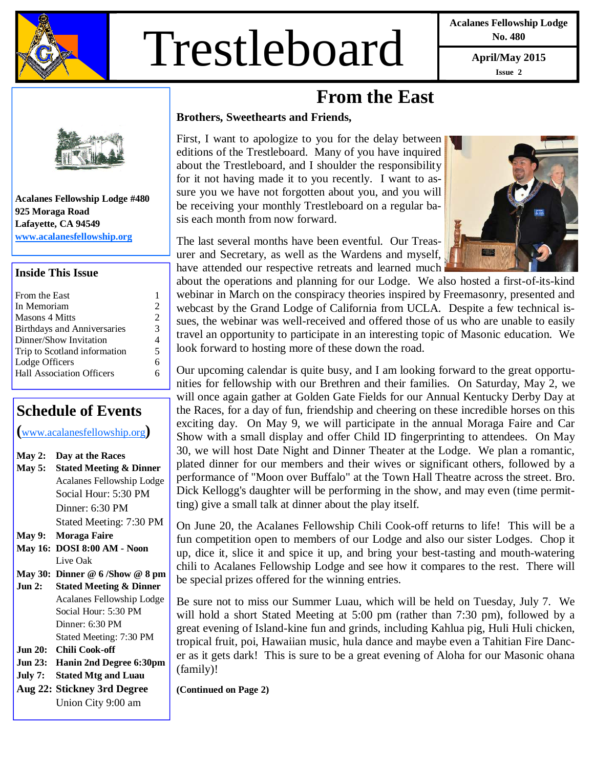

# Trestleboard **April/May 2015**

**Acalanes Fellowship Lodge No. 480** 

**Issue 2** 

### **From the East**

#### **Brothers, Sweethearts and Friends,**

First, I want to apologize to you for the delay between editions of the Trestleboard. Many of you have inquired about the Trestleboard, and I shoulder the responsibility for it not having made it to you recently. I want to assure you we have not forgotten about you, and you will be receiving your monthly Trestleboard on a regular basis each month from now forward.

The last several months have been eventful. Our Treasurer and Secretary, as well as the Wardens and myself, have attended our respective retreats and learned much

about the operations and planning for our Lodge. We also hosted a first-of-its-kind webinar in March on the conspiracy theories inspired by Freemasonry, presented and webcast by the Grand Lodge of California from UCLA. Despite a few technical issues, the webinar was well-received and offered those of us who are unable to easily travel an opportunity to participate in an interesting topic of Masonic education. We look forward to hosting more of these down the road.

Our upcoming calendar is quite busy, and I am looking forward to the great opportunities for fellowship with our Brethren and their families. On Saturday, May 2, we will once again gather at Golden Gate Fields for our Annual Kentucky Derby Day at the Races, for a day of fun, friendship and cheering on these incredible horses on this exciting day. On May 9, we will participate in the annual Moraga Faire and Car Show with a small display and offer Child ID fingerprinting to attendees. On May 30, we will host Date Night and Dinner Theater at the Lodge. We plan a romantic, plated dinner for our members and their wives or significant others, followed by a performance of "Moon over Buffalo" at the Town Hall Theatre across the street. Bro. Dick Kellogg's daughter will be performing in the show, and may even (time permitting) give a small talk at dinner about the play itself.

On June 20, the Acalanes Fellowship Chili Cook-off returns to life! This will be a fun competition open to members of our Lodge and also our sister Lodges. Chop it up, dice it, slice it and spice it up, and bring your best-tasting and mouth-watering chili to Acalanes Fellowship Lodge and see how it compares to the rest. There will be special prizes offered for the winning entries.

Be sure not to miss our Summer Luau, which will be held on Tuesday, July 7. We will hold a short Stated Meeting at 5:00 pm (rather than 7:30 pm), followed by a great evening of Island-kine fun and grinds, including Kahlua pig, Huli Huli chicken, tropical fruit, poi, Hawaiian music, hula dance and maybe even a Tahitian Fire Dancer as it gets dark! This is sure to be a great evening of Aloha for our Masonic ohana (family)!

**(Continued on Page 2)** 

**Acalanes Fellowship Lodge #480 925 Moraga Road Lafayette, CA 94549 www.acalanesfellowship.org**

#### **Inside This Issue**

| From the East                      |                |
|------------------------------------|----------------|
| In Memoriam                        | $\mathfrak{D}$ |
| <b>Masons 4 Mitts</b>              | 2              |
| <b>Birthdays and Anniversaries</b> | 3              |
| Dinner/Show Invitation             | 4              |
| Trip to Scotland information       | 5              |
| Lodge Officers                     | 6              |
| <b>Hall Association Officers</b>   | ħ              |
|                                    |                |

### **Schedule of Events**

**(**www.acalanesfellowship.org**)** 

| May 2:         | Day at the Races                   |
|----------------|------------------------------------|
| <b>May 5:</b>  | <b>Stated Meeting &amp; Dinner</b> |
|                | Acalanes Fellowship Lodge          |
|                | Social Hour: 5:30 PM               |
|                | Dinner: 6:30 PM                    |
|                | Stated Meeting: 7:30 PM            |
| <b>May 9:</b>  | Moraga Faire                       |
|                | May 16: DOSI 8:00 AM - Noon        |
|                | Live Oak                           |
|                | May 30: Dinner $@6$ /Show $@8$ pm  |
|                |                                    |
| Jun 2:         | <b>Stated Meeting &amp; Dinner</b> |
|                | Acalanes Fellowship Lodge          |
|                | Social Hour: 5:30 PM               |
|                | Dinner: 6:30 PM                    |
|                | Stated Meeting: 7:30 PM            |
| Jun 20:        | Chili Cook-off                     |
| <b>Jun 23:</b> | Hanin 2nd Degree 6:30pm            |
| July 7:        | <b>Stated Mtg and Luau</b>         |
|                | Aug 22: Stickney 3rd Degree        |

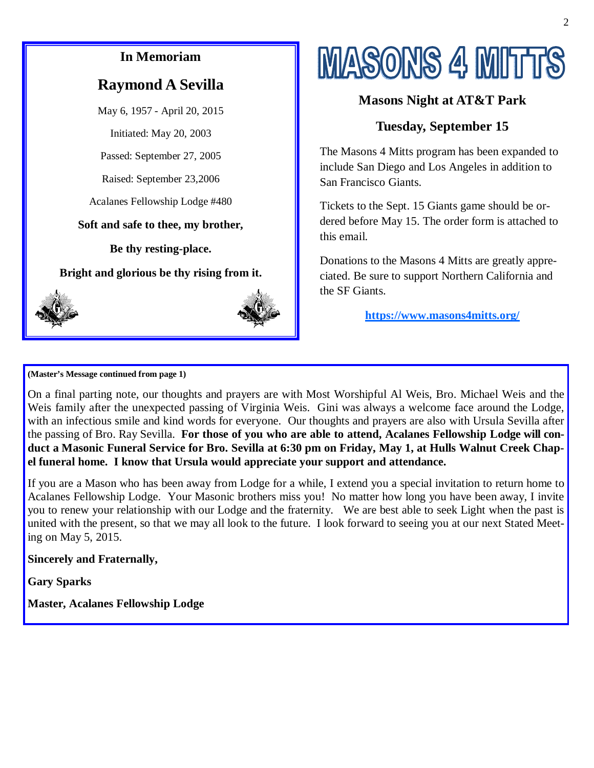## **In Memoriam Raymond A Sevilla**  May 6, 1957 - April 20, 2015 Initiated: May 20, 2003 Passed: September 27, 2005 Raised: September 23,2006 Acalanes Fellowship Lodge #480 **Soft and safe to thee, my brother, Be thy resting-place. Bright and glorious be thy rising from it.**

## **MASONS 4 MITTS**

#### **Masons Night at AT&T Park**

### **Tuesday, September 15**

The Masons 4 Mitts program has been expanded to include San Diego and Los Angeles in addition to San Francisco Giants.

Tickets to the Sept. 15 Giants game should be ordered before May 15. The order form is attached to this email.

Donations to the Masons 4 Mitts are greatly appreciated. Be sure to support Northern California and the SF Giants.

**https://www.masons4mitts.org/**

**(Master's Message continued from page 1)** 

On a final parting note, our thoughts and prayers are with Most Worshipful Al Weis, Bro. Michael Weis and the Weis family after the unexpected passing of Virginia Weis. Gini was always a welcome face around the Lodge, with an infectious smile and kind words for everyone. Our thoughts and prayers are also with Ursula Sevilla after the passing of Bro. Ray Sevilla. **For those of you who are able to attend, Acalanes Fellowship Lodge will conduct a Masonic Funeral Service for Bro. Sevilla at 6:30 pm on Friday, May 1, at Hulls Walnut Creek Chapel funeral home. I know that Ursula would appreciate your support and attendance.** 

If you are a Mason who has been away from Lodge for a while, I extend you a special invitation to return home to Acalanes Fellowship Lodge. Your Masonic brothers miss you! No matter how long you have been away, I invite you to renew your relationship with our Lodge and the fraternity. We are best able to seek Light when the past is united with the present, so that we may all look to the future. I look forward to seeing you at our next Stated Meeting on May 5, 2015.

#### **Sincerely and Fraternally,**

**Gary Sparks** 

**Master, Acalanes Fellowship Lodge**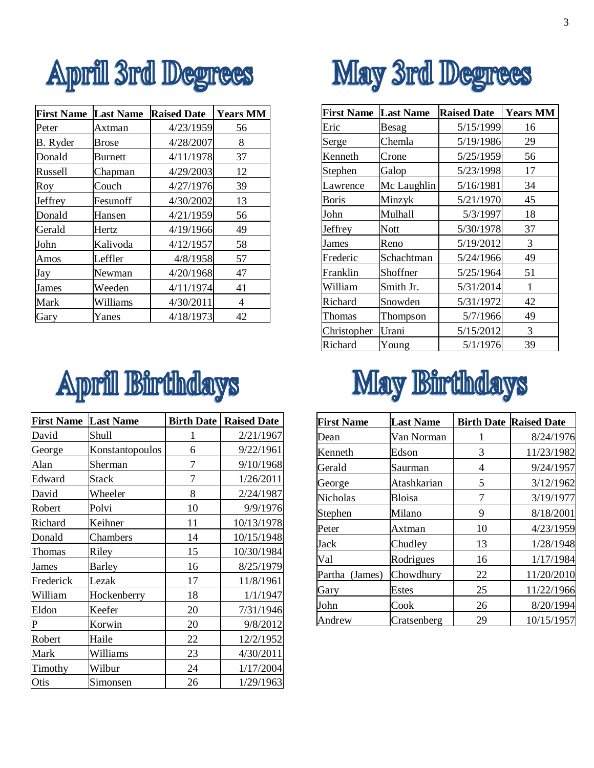

| <b>First Name</b> | <b>Last Name</b> | <b>Raised Date</b> | <b>Years MM</b> |
|-------------------|------------------|--------------------|-----------------|
| Peter             | Axtman           | 4/23/1959          | 56              |
| B. Ryder          | Brose            | 4/28/2007          | 8               |
| Donald            | <b>Burnett</b>   | 4/11/1978          | 37              |
| Russell           | Chapman          | 4/29/2003          | 12              |
| Roy               | Couch            | 4/27/1976          | 39              |
| Jeffrey           | Fesunoff         | 4/30/2002          | 13              |
| Donald            | Hansen           | 4/21/1959          | 56              |
| Gerald            | Hertz            | 4/19/1966          | 49              |
| John              | Kalivoda         | 4/12/1957          | 58              |
| Amos              | Leffler          | 4/8/1958           | 57              |
| Jay               | Newman           | 4/20/1968          | 47              |
| James             | Weeden           | 4/11/1974          | 41              |
| Mark              | Williams         | 4/30/2011          | 4               |
| Gary              | Yanes            | 4/18/1973          | 42              |

## **April Birthdays**

| <b>First Name</b> | <b>Last Name</b> | <b>Birth Date</b> | <b>Raised Date</b> |
|-------------------|------------------|-------------------|--------------------|
| David             | Shull            | 1                 | 2/21/1967          |
| George            | Konstantopoulos  | 6                 | 9/22/1961          |
| Alan              | Sherman          | 7                 | 9/10/1968          |
| Edward            | Stack            | 7                 | 1/26/2011          |
| David             | Wheeler          | 8                 | 2/24/1987          |
| Robert            | Polvi            | 10                | 9/9/1976           |
| Richard           | Keihner          | 11                | 10/13/1978         |
| Donald            | Chambers         | 14                | 10/15/1948         |
| Thomas            | Riley            | 15                | 10/30/1984         |
| James             | <b>Barley</b>    | 16                | 8/25/1979          |
| Frederick         | Lezak            | 17                | 11/8/1961          |
| William           | Hockenberry      | 18                | 1/1/1947           |
| Eldon             | Keefer           | 20                | 7/31/1946          |
| P                 | Korwin           | 20                | 9/8/2012           |
| Robert            | Haile            | 22                | 12/2/1952          |
| Mark              | Williams         | 23                | 4/30/2011          |
| Timothy           | Wilbur           | 24                | 1/17/2004          |
| Otis              | Simonsen         | 26                | 1/29/1963          |



| <b>First Name</b> | <b>Last Name</b> | <b>Raised Date</b> | <b>Years MM</b> |
|-------------------|------------------|--------------------|-----------------|
| Eric              | Besag            | 5/15/1999          | 16              |
| Serge             | Chemla           | 5/19/1986          | 29              |
| Kenneth           | Crone            | 5/25/1959          | 56              |
| Stephen           | Galop            | 5/23/1998          | 17              |
| Lawrence          | Mc Laughlin      | 5/16/1981          | 34              |
| <b>Boris</b>      | Minzyk           | 5/21/1970          | 45              |
| John              | Mulhall          | 5/3/1997           | 18              |
| Jeffrey           | Nott             | 5/30/1978          | 37              |
| James             | Reno             | 5/19/2012          | 3               |
| Frederic          | Schachtman       | 5/24/1966          | 49              |
| Franklin          | Shoffner         | 5/25/1964          | 51              |
| William           | Smith Jr.        | 5/31/2014          | 1               |
| Richard           | Snowden          | 5/31/1972          | 42              |
| Thomas            | Thompson         | 5/7/1966           | 49              |
| Christopher       | Urani            | 5/15/2012          | 3               |
| Richard           | Young            | 5/1/1976           | 39              |

## May Birthdays

| <b>First Name</b> | <b>Last Name</b> |    | <b>Birth Date Raised Date</b> |
|-------------------|------------------|----|-------------------------------|
| Dean              | Van Norman       |    | 8/24/1976                     |
| Kenneth           | Edson            | 3  | 11/23/1982                    |
| Gerald            | Saurman          | 4  | 9/24/1957                     |
| George            | Atashkarian      | 5  | 3/12/1962                     |
| <b>Nicholas</b>   | Bloisa           | 7  | 3/19/1977                     |
| Stephen           | Milano           | 9  | 8/18/2001                     |
| Peter             | Axtman           | 10 | 4/23/1959                     |
| Jack              | Chudley          | 13 | 1/28/1948                     |
| Val               | Rodrigues        | 16 | 1/17/1984                     |
| Partha (James)    | Chowdhury        | 22 | 11/20/2010                    |
| Gary              | <b>Estes</b>     | 25 | 11/22/1966                    |
| John              | Cook             | 26 | 8/20/1994                     |
| Andrew            | Cratsenberg      | 29 | 10/15/1957                    |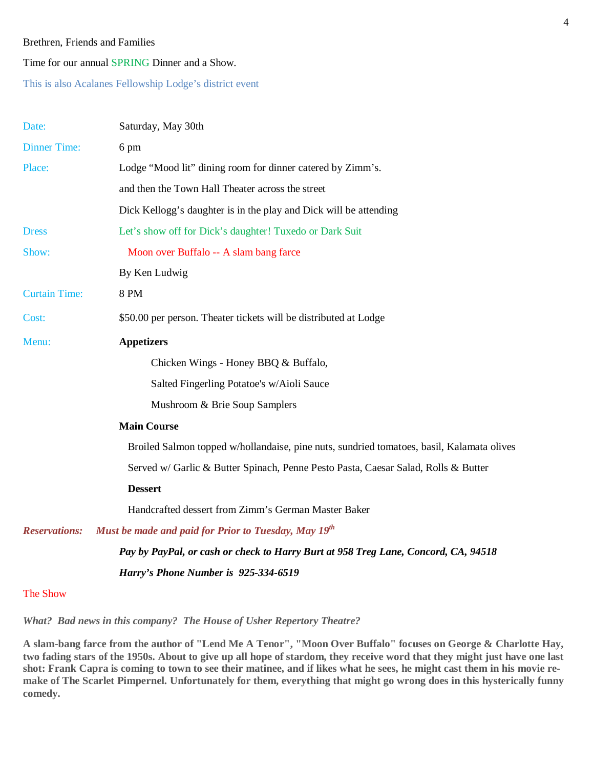#### Brethren, Friends and Families

Time for our annual SPRING Dinner and a Show.

This is also Acalanes Fellowship Lodge's district event

| Date:                | Saturday, May 30th                                                                        |
|----------------------|-------------------------------------------------------------------------------------------|
| <b>Dinner Time:</b>  | 6 pm                                                                                      |
| Place:               | Lodge "Mood lit" dining room for dinner catered by Zimm's.                                |
|                      | and then the Town Hall Theater across the street                                          |
|                      | Dick Kellogg's daughter is in the play and Dick will be attending                         |
| <b>Dress</b>         | Let's show off for Dick's daughter! Tuxedo or Dark Suit                                   |
| Show:                | Moon over Buffalo -- A slam bang farce                                                    |
|                      | By Ken Ludwig                                                                             |
| <b>Curtain Time:</b> | <b>8 PM</b>                                                                               |
| Cost:                | \$50.00 per person. Theater tickets will be distributed at Lodge                          |
| Menu:                | <b>Appetizers</b>                                                                         |
|                      | Chicken Wings - Honey BBQ & Buffalo,                                                      |
|                      | Salted Fingerling Potatoe's w/Aioli Sauce                                                 |
|                      | Mushroom & Brie Soup Samplers                                                             |
|                      | <b>Main Course</b>                                                                        |
|                      | Broiled Salmon topped w/hollandaise, pine nuts, sundried tomatoes, basil, Kalamata olives |
|                      | Served w/ Garlic & Butter Spinach, Penne Pesto Pasta, Caesar Salad, Rolls & Butter        |
|                      | <b>Dessert</b>                                                                            |
|                      | Handcrafted dessert from Zimm's German Master Baker                                       |
| <b>Reservations:</b> | Must be made and paid for Prior to Tuesday, May 19th                                      |
|                      | Pay by PayPal, or cash or check to Harry Burt at 958 Treg Lane, Concord, CA, 94518        |
|                      | Harry's Phone Number is 925-334-6519                                                      |

The Show

*What? Bad news in this company? The House of Usher Repertory Theatre?*

**A slam-bang farce from the author of "Lend Me A Tenor", "Moon Over Buffalo" focuses on George & Charlotte Hay, two fading stars of the 1950s. About to give up all hope of stardom, they receive word that they might just have one last shot: Frank Capra is coming to town to see their matinee, and if likes what he sees, he might cast them in his movie remake of The Scarlet Pimpernel. Unfortunately for them, everything that might go wrong does in this hysterically funny comedy.**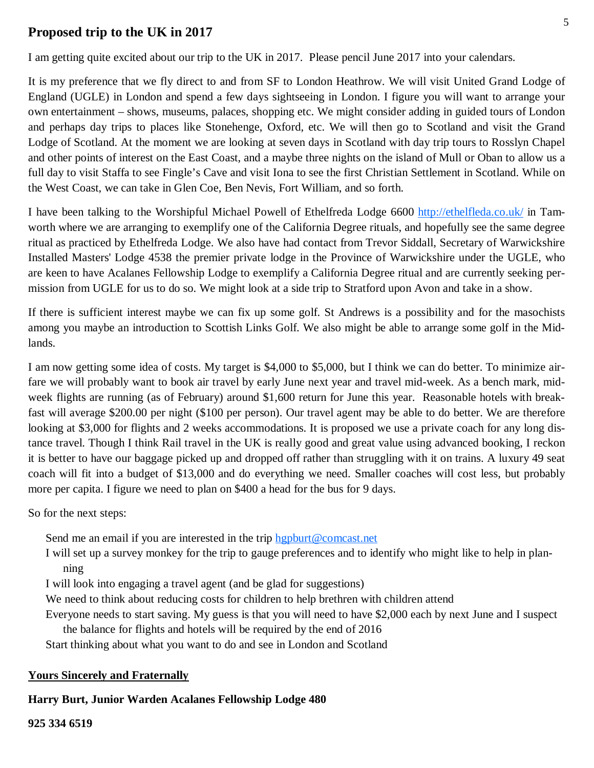#### $\frac{1}{2}$ **Proposed trip to the UK in 2017**

I am getting quite excited about our trip to the UK in 2017. Please pencil June 2017 into your calendars.

It is my preference that we fly direct to and from SF to London Heathrow. We will visit United Grand Lodge of England (UGLE) in London and spend a few days sightseeing in London. I figure you will want to arrange your own entertainment – shows, museums, palaces, shopping etc. We might consider adding in guided tours of London and perhaps day trips to places like Stonehenge, Oxford, etc. We will then go to Scotland and visit the Grand Lodge of Scotland. At the moment we are looking at seven days in Scotland with day trip tours to Rosslyn Chapel and other points of interest on the East Coast, and a maybe three nights on the island of Mull or Oban to allow us a full day to visit Staffa to see Fingle's Cave and visit Iona to see the first Christian Settlement in Scotland. While on the West Coast, we can take in Glen Coe, Ben Nevis, Fort William, and so forth.

I have been talking to the Worshipful Michael Powell of Ethelfreda Lodge 6600 http://ethelfleda.co.uk/ in Tamworth where we are arranging to exemplify one of the California Degree rituals, and hopefully see the same degree ritual as practiced by Ethelfreda Lodge. We also have had contact from Trevor Siddall, Secretary of Warwickshire Installed Masters' Lodge 4538 the premier private lodge in the Province of Warwickshire under the UGLE, who are keen to have Acalanes Fellowship Lodge to exemplify a California Degree ritual and are currently seeking permission from UGLE for us to do so. We might look at a side trip to Stratford upon Avon and take in a show.

If there is sufficient interest maybe we can fix up some golf. St Andrews is a possibility and for the masochists among you maybe an introduction to Scottish Links Golf. We also might be able to arrange some golf in the Midlands.

I am now getting some idea of costs. My target is \$4,000 to \$5,000, but I think we can do better. To minimize airfare we will probably want to book air travel by early June next year and travel mid-week. As a bench mark, midweek flights are running (as of February) around \$1,600 return for June this year. Reasonable hotels with breakfast will average \$200.00 per night (\$100 per person). Our travel agent may be able to do better. We are therefore looking at \$3,000 for flights and 2 weeks accommodations. It is proposed we use a private coach for any long distance travel. Though I think Rail travel in the UK is really good and great value using advanced booking, I reckon it is better to have our baggage picked up and dropped off rather than struggling with it on trains. A luxury 49 seat coach will fit into a budget of \$13,000 and do everything we need. Smaller coaches will cost less, but probably more per capita. I figure we need to plan on \$400 a head for the bus for 9 days.

So for the next steps:

Send me an email if you are interested in the trip hgpburt@comcast.net

I will set up a survey monkey for the trip to gauge preferences and to identify who might like to help in planning

I will look into engaging a travel agent (and be glad for suggestions)

We need to think about reducing costs for children to help brethren with children attend

Everyone needs to start saving. My guess is that you will need to have \$2,000 each by next June and I suspect the balance for flights and hotels will be required by the end of 2016

Start thinking about what you want to do and see in London and Scotland

#### **Yours Sincerely and Fraternally**

#### **Harry Burt, Junior Warden Acalanes Fellowship Lodge 480**

**925 334 6519**